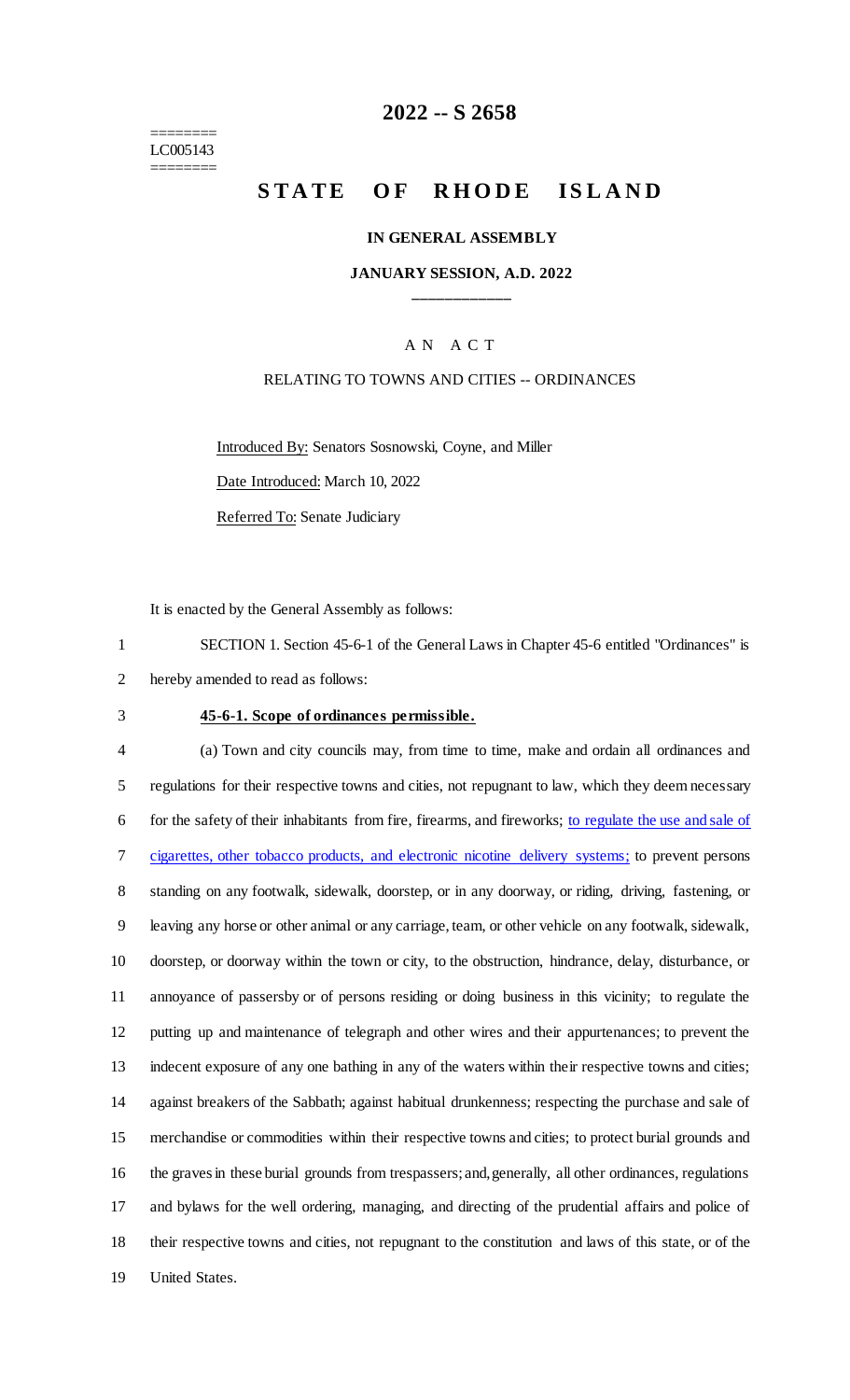======== LC005143 ========

# **-- S 2658**

# **STATE OF RHODE ISLAND**

#### **IN GENERAL ASSEMBLY**

### **JANUARY SESSION, A.D. 2022 \_\_\_\_\_\_\_\_\_\_\_\_**

### A N A C T

### RELATING TO TOWNS AND CITIES -- ORDINANCES

Introduced By: Senators Sosnowski, Coyne, and Miller

Date Introduced: March 10, 2022

Referred To: Senate Judiciary

It is enacted by the General Assembly as follows:

 SECTION 1. Section 45-6-1 of the General Laws in Chapter 45-6 entitled "Ordinances" is hereby amended to read as follows:

#### **45-6-1. Scope of ordinances permissible.**

 (a) Town and city councils may, from time to time, make and ordain all ordinances and regulations for their respective towns and cities, not repugnant to law, which they deem necessary for the safety of their inhabitants from fire, firearms, and fireworks; to regulate the use and sale of cigarettes, other tobacco products, and electronic nicotine delivery systems; to prevent persons standing on any footwalk, sidewalk, doorstep, or in any doorway, or riding, driving, fastening, or leaving any horse or other animal or any carriage, team, or other vehicle on any footwalk, sidewalk, doorstep, or doorway within the town or city, to the obstruction, hindrance, delay, disturbance, or annoyance of passersby or of persons residing or doing business in this vicinity; to regulate the putting up and maintenance of telegraph and other wires and their appurtenances; to prevent the indecent exposure of any one bathing in any of the waters within their respective towns and cities; against breakers of the Sabbath; against habitual drunkenness; respecting the purchase and sale of merchandise or commodities within their respective towns and cities; to protect burial grounds and the graves in these burial grounds from trespassers; and, generally, all other ordinances, regulations and bylaws for the well ordering, managing, and directing of the prudential affairs and police of their respective towns and cities, not repugnant to the constitution and laws of this state, or of the United States.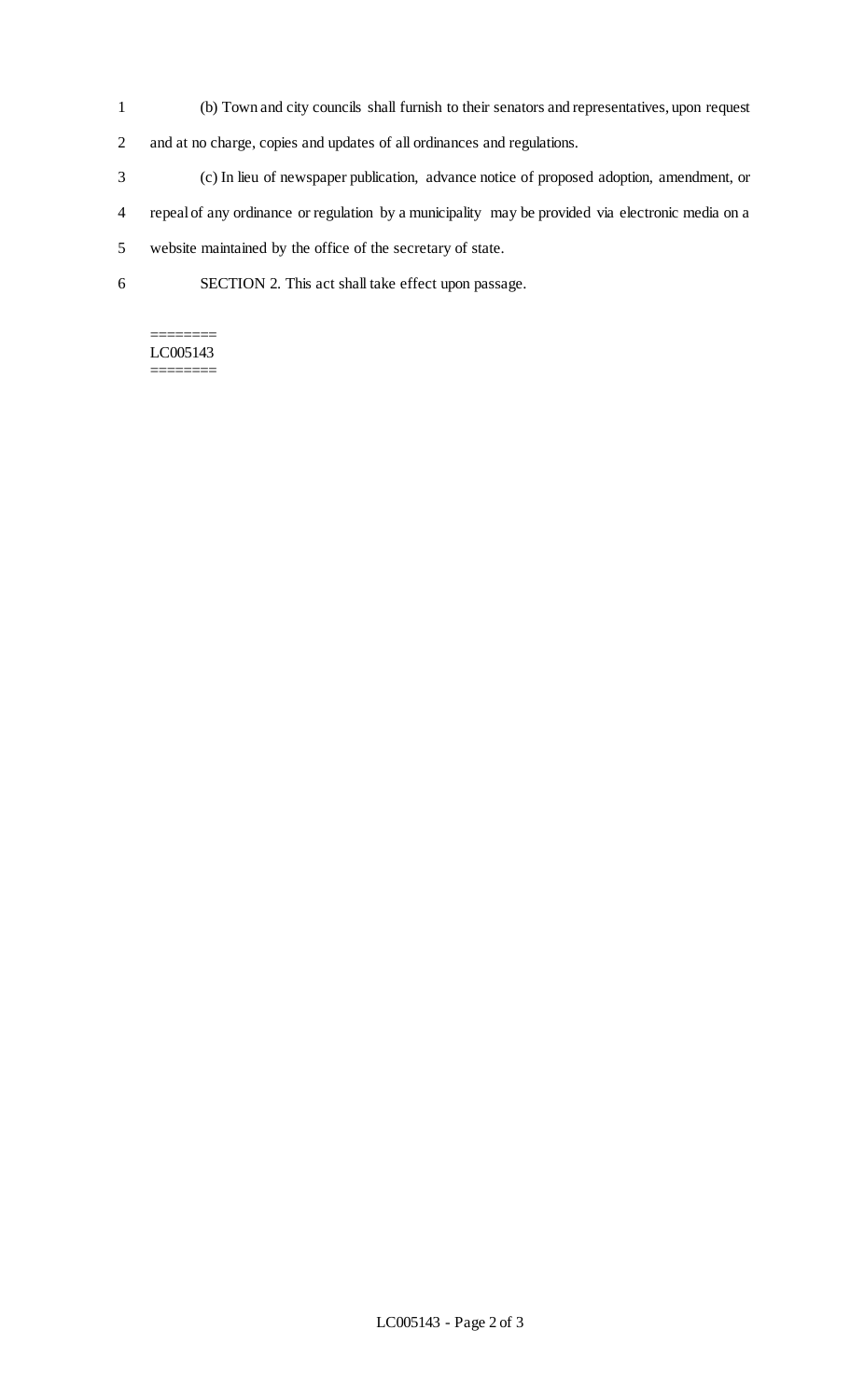- 1 (b) Town and city councils shall furnish to their senators and representatives, upon request
- 2 and at no charge, copies and updates of all ordinances and regulations.
- 3 (c) In lieu of newspaper publication, advance notice of proposed adoption, amendment, or
- 4 repeal of any ordinance or regulation by a municipality may be provided via electronic media on a
- 5 website maintained by the office of the secretary of state.
- 6 SECTION 2. This act shall take effect upon passage.

#### ======== LC005143 ========